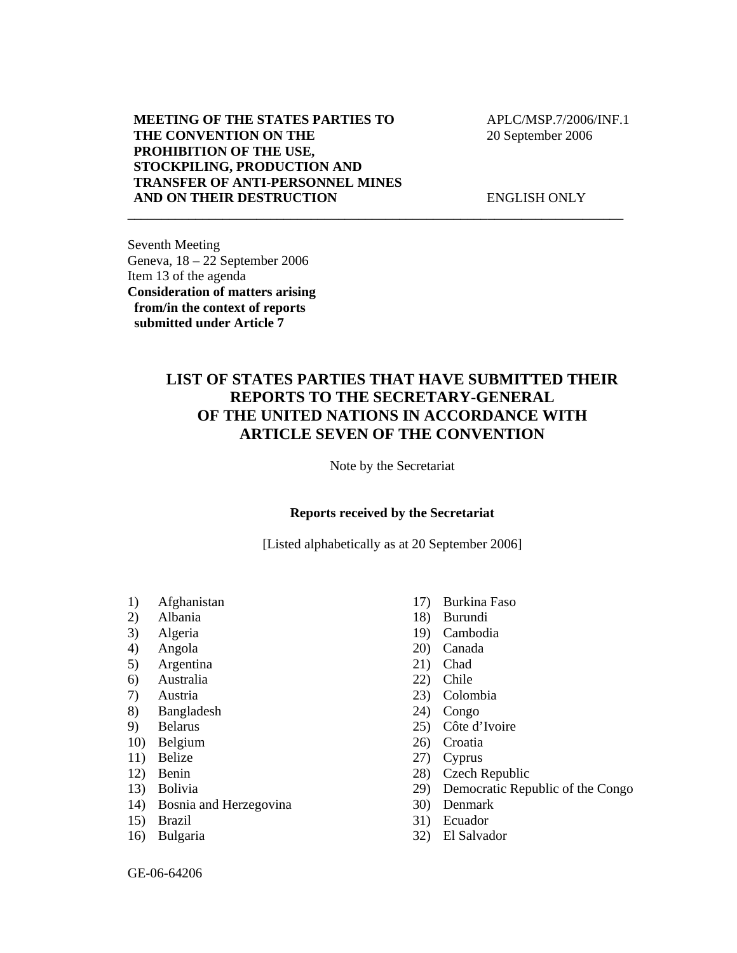## **MEETING OF THE STATES PARTIES TO THE CONVENTION ON THE PROHIBITION OF THE USE, STOCKPILING, PRODUCTION AND TRANSFER OF ANTI-PERSONNEL MINES AND ON THEIR DESTRUCTION**

 APLC/MSP.7/2006/INF.1 20 September 2006

ENGLISH ONLY

Seventh Meeting Geneva, 18 – 22 September 2006 Item 13 of the agenda **Consideration of matters arising from/in the context of reports submitted under Article 7** 

## **LIST OF STATES PARTIES THAT HAVE SUBMITTED THEIR REPORTS TO THE SECRETARY-GENERAL OF THE UNITED NATIONS IN ACCORDANCE WITH ARTICLE SEVEN OF THE CONVENTION**

\_\_\_\_\_\_\_\_\_\_\_\_\_\_\_\_\_\_\_\_\_\_\_\_\_\_\_\_\_\_\_\_\_\_\_\_\_\_\_\_\_\_\_\_\_\_\_\_\_\_\_\_\_\_\_\_\_\_\_\_\_\_\_\_\_\_\_\_\_\_\_\_\_

Note by the Secretariat

## **Reports received by the Secretariat**

[Listed alphabetically as at 20 September 2006]

- 1) Afghanistan
- 2) Albania
- 3) Algeria
- 4) Angola
- 5) Argentina
- 6) Australia
- 7) Austria
- 8) Bangladesh
- 9) Belarus
- 10) Belgium
- 11) Belize
- 12) Benin
- 13) Bolivia
- 14) Bosnia and Herzegovina
- 15) Brazil
- 16) Bulgaria
- 17) Burkina Faso
- 18) Burundi
- 19) Cambodia
- 20) Canada
- 21) Chad
- 22) Chile
- 23) Colombia
- 24) Congo
- 25) Côte d'Ivoire
- 26) Croatia
- 27) Cyprus
- 28) Czech Republic
- 29) Democratic Republic of the Congo
- 30) Denmark
- 31) Ecuador
- 32) El Salvador

GE-06-64206